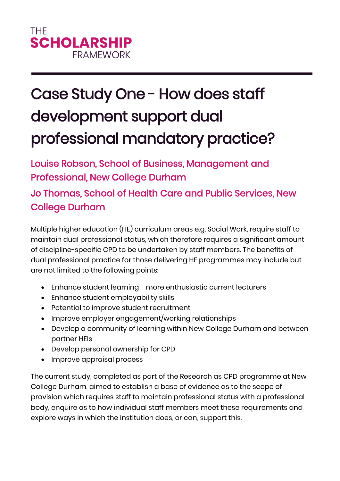## Case Study One - How does staff development support dual professional mandatory practice?

Louise Robson, School of Business, Management and Professional, New College Durham

Jo Thomas, School of Health Care and Public Services, New College Durham

Multiple higher education (HE) curriculum areas e.g. Social Work, require staff to maintain dual professional status, which therefore requires a significant amount of discipline-specific CPD to be undertaken by staff members. The benefits of dual professional practice for those delivering HE programmes may include but are not limited to the following points:

- Enhance student learning more enthusiastic current lecturers
- Enhance student employability skills
- Potential to improve student recruitment
- Improve employer engagement/working relationships
- Develop a community of learning within New College Durham and between partner HEIs
- Develop personal ownership for CPD
- Improve appraisal process

The current study, completed as part of the Research as CPD programme at New College Durham, aimed to establish a base of evidence as to the scope of provision which requires staff to maintain professional status with a professional body, enquire as to how individual staff members meet these requirements and explore ways in which the institution does, or can, support this.